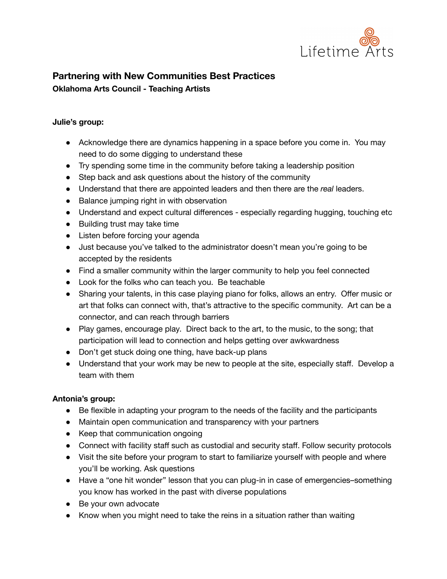

# **Partnering with New Communities Best Practices Oklahoma Arts Council - Teaching Artists**

## **Julie's group:**

- Acknowledge there are dynamics happening in a space before you come in. You may need to do some digging to understand these
- Try spending some time in the community before taking a leadership position
- Step back and ask questions about the history of the community
- Understand that there are appointed leaders and then there are the *real* leaders.
- Balance jumping right in with observation
- Understand and expect cultural differences especially regarding hugging, touching etc
- Building trust may take time
- Listen before forcing your agenda
- Just because you've talked to the administrator doesn't mean you're going to be accepted by the residents
- Find a smaller community within the larger community to help you feel connected
- Look for the folks who can teach you. Be teachable
- Sharing your talents, in this case playing piano for folks, allows an entry. Offer music or art that folks can connect with, that's attractive to the specific community. Art can be a connector, and can reach through barriers
- Play games, encourage play. Direct back to the art, to the music, to the song; that participation will lead to connection and helps getting over awkwardness
- Don't get stuck doing one thing, have back-up plans
- Understand that your work may be new to people at the site, especially staff. Develop a team with them

## **Antonia's group:**

- Be flexible in adapting your program to the needs of the facility and the participants
- Maintain open communication and transparency with your partners
- Keep that communication ongoing
- Connect with facility staff such as custodial and security staff. Follow security protocols
- Visit the site before your program to start to familiarize yourself with people and where you'll be working. Ask questions
- Have a "one hit wonder" lesson that you can plug-in in case of emergencies–something you know has worked in the past with diverse populations
- Be your own advocate
- Know when you might need to take the reins in a situation rather than waiting